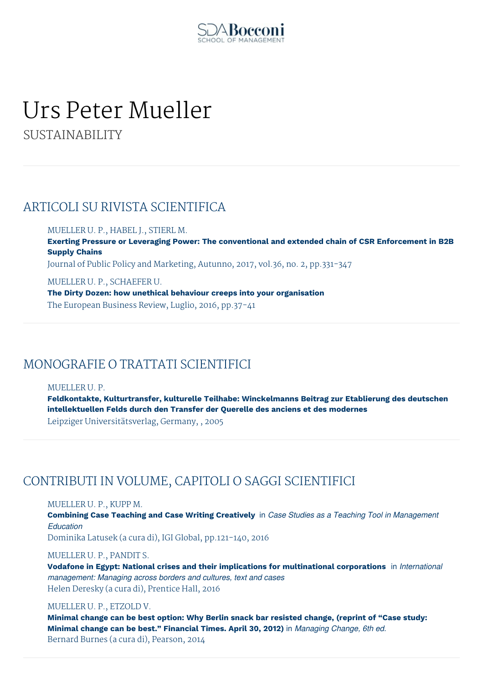

# Urs Peter Mueller

SUSTAINABILITY

## ARTICOLI SU RIVISTA SCIENTIFICA

MUELLER U. P., HABEL J., STIERL M.

**Exerting Pressure or Leveraging Power: The conventional and extended chain of CSR Enforcement in B2B Supply Chains**

Journal of Public Policy and Marketing, Autunno, 2017, vol.36, no. 2, pp.331-347

MUELLER U. P., SCHAEFER U. **The Dirty Dozen: how unethical behaviour creeps into your organisation** The European Business Review, Luglio, 2016, pp.37-41

## MONOGRAFIE O TRATTATI SCIENTIFICI

MUELLER U. P.

**Feldkontakte, Kulturtransfer, kulturelle Teilhabe: Winckelmanns Beitrag zur Etablierung des deutschen intellektuellen Felds durch den Transfer der Querelle des anciens et des modernes** Leipziger Universitätsverlag, Germany, , 2005

## CONTRIBUTI IN VOLUME, CAPITOLI O SAGGI SCIENTIFICI

MUELLER U. P., KUPP M.

**Combining Case Teaching and Case Writing Creatively** in *Case Studies as a Teaching Tool in Management Education* Dominika Latusek (a cura di), IGI Global, pp.121-140, 2016

MUELLER U. P., PANDIT S.

**Vodafone in Egypt: National crises and their implications for multinational corporations** in *International management: Managing across borders and cultures, text and cases* Helen Deresky (a cura di), Prentice Hall, 2016

#### MUELLER U. P., ETZOLD V.

**Minimal change can be best option: Why Berlin snack bar resisted change, (reprint of "Case study: Minimal change can be best." Financial Times. April 30, 2012)** in *Managing Change, 6th ed.* Bernard Burnes (a cura di), Pearson, 2014